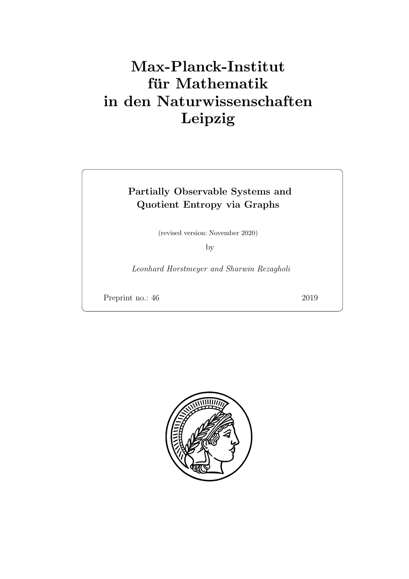# Max-Planck-Institut für Mathematik in den Naturwissenschaften Leipzig

# Partially Observable Systems and Quotient Entropy via Graphs

(revised version: November 2020)

by

Leonhard Horstmeyer and Sharwin Rezagholi

Preprint no.: 46 2019

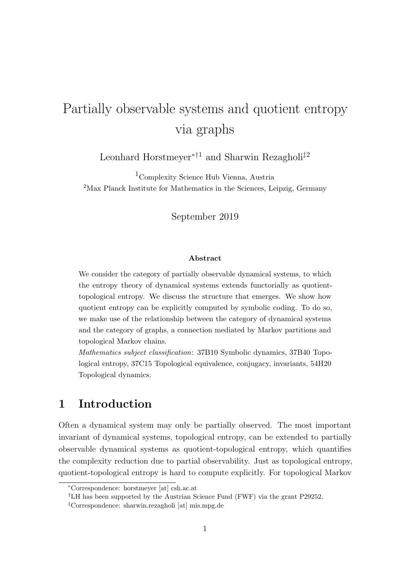# Partially observable systems and quotient entropy via graphs

Leonhard Horstmeyer<sup>∗†1</sup> and Sharwin Rezagholi<sup>‡2</sup>

<sup>1</sup>Complexity Science Hub Vienna, Austria <sup>2</sup>Max Planck Institute for Mathematics in the Sciences, Leipzig, Germany

September 2019

#### Abstract

We consider the category of partially observable dynamical systems, to which the entropy theory of dynamical systems extends functorially as quotienttopological entropy. We discuss the structure that emerges. We show how quotient entropy can be explicitly computed by symbolic coding. To do so, we make use of the relationship between the category of dynamical systems and the category of graphs, a connection mediated by Markov partitions and topological Markov chains.

Mathematics subject classification: 37B10 Symbolic dynamics, 37B40 Topological entropy, 37C15 Topological equivalence, conjugacy, invariants, 54H20 Topological dynamics.

# 1 Introduction

Often a dynamical system may only be partially observed. The most important invariant of dynamical systems, topological entropy, can be extended to partially observable dynamical systems as quotient-topological entropy, which quantifies the complexity reduction due to partial observability. Just as topological entropy, quotient-topological entropy is hard to compute explicitly. For topological Markov

<sup>∗</sup>Correspondence: horstmeyer [at] csh.ac.at

<sup>†</sup>LH has been supported by the Austrian Science Fund (FWF) via the grant P29252.

<sup>‡</sup>Correspondence: sharwin.rezagholi [at] mis.mpg.de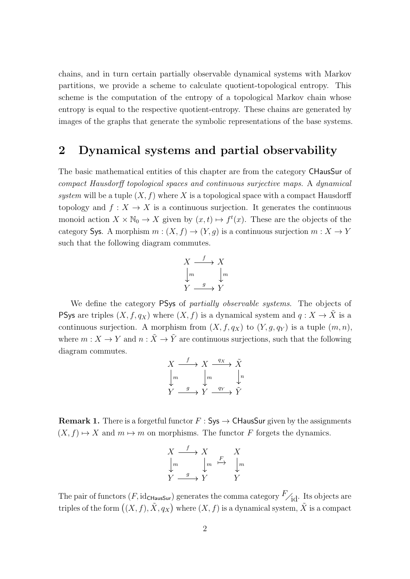chains, and in turn certain partially observable dynamical systems with Markov partitions, we provide a scheme to calculate quotient-topological entropy. This scheme is the computation of the entropy of a topological Markov chain whose entropy is equal to the respective quotient-entropy. These chains are generated by images of the graphs that generate the symbolic representations of the base systems.

### 2 Dynamical systems and partial observability

The basic mathematical entities of this chapter are from the category CHausSur of compact Hausdorff topological spaces and continuous surjective maps. A dynamical system will be a tuple  $(X, f)$  where X is a topological space with a compact Hausdorff topology and  $f: X \to X$  is a continuous surjection. It generates the continuous monoid action  $X \times \mathbb{N}_0 \to X$  given by  $(x, t) \mapsto f^t(x)$ . These are the objects of the category Sys. A morphism  $m:(X, f) \to (Y, g)$  is a continuous surjection  $m: X \to Y$ such that the following diagram commutes.

$$
\begin{array}{ccc}\nX & \xrightarrow{f} & X \\
\downarrow{m} & & \downarrow{m} \\
Y & \xrightarrow{g} & Y\n\end{array}
$$

We define the category PSys of partially observable systems. The objects of **PSys** are triples  $(X, f, q_X)$  where  $(X, f)$  is a dynamical system and  $q: X \to \tilde{X}$  is a continuous surjection. A morphism from  $(X, f, q_X)$  to  $(Y, g, q_Y)$  is a tuple  $(m, n)$ , where  $m: X \to Y$  and  $n: \tilde{X} \to \tilde{Y}$  are continuous surjections, such that the following diagram commutes.

$$
\begin{array}{ccc}\nX & \xrightarrow{f} & X & \xrightarrow{q_X} & \tilde{X} \\
\downarrow m & & \downarrow m & & \downarrow n \\
Y & \xrightarrow{g} & Y & \xrightarrow{q_Y} & \tilde{Y}\n\end{array}
$$

**Remark 1.** There is a forgetful functor  $F : Sys \to \mathsf{CHausSur}$  given by the assignments  $(X, f) \mapsto X$  and  $m \mapsto m$  on morphisms. The functor F forgets the dynamics.

f

$$
\begin{array}{ccc}\nX & \xrightarrow{f} & X & X \\
\downarrow{m} & \downarrow{m} & \xrightarrow{F} & \downarrow{m} \\
Y & \xrightarrow{g} & Y & Y\n\end{array}
$$

The pair of functors  $(F, id_{\text{CHausSur}})$  generates the comma category  $F_{\text{Id}}$ . Its objects are triples of the form  $((X, f), \tilde{X}, q_X)$  where  $(X, f)$  is a dynamical system,  $\tilde{X}$  is a compact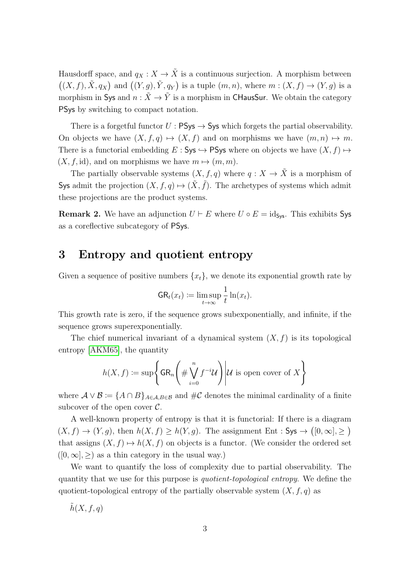Hausdorff space, and  $q_X : X \to \tilde{X}$  is a continuous surjection. A morphism between  $((X, f), \tilde{X}, q_X)$  and  $((Y, g), \tilde{Y}, q_Y)$  is a tuple  $(m, n)$ , where  $m : (X, f) \to (Y, g)$  is a morphism in Sys and  $n : \tilde{X} \to \tilde{Y}$  is a morphism in CHausSur. We obtain the category PSys by switching to compact notation.

There is a forgetful functor  $U : \mathsf{PSys} \to \mathsf{Sys}$  which forgets the partial observability. On objects we have  $(X, f, q) \mapsto (X, f)$  and on morphisms we have  $(m, n) \mapsto m$ . There is a functorial embedding  $E : \mathsf{Sys} \hookrightarrow \mathsf{PSys}$  where on objects we have  $(X, f) \mapsto$  $(X, f, id)$ , and on morphisms we have  $m \mapsto (m, m)$ .

The partially observable systems  $(X, f, q)$  where  $q: X \to \tilde{X}$  is a morphism of Sys admit the projection  $(X, f, q) \mapsto (\tilde{X}, \tilde{f})$ . The archetypes of systems which admit these projections are the product systems.

**Remark 2.** We have an adjunction  $U \vdash E$  where  $U \circ E = id_{S_{VS}}$ . This exhibits Sys as a coreflective subcategory of PSys.

### 3 Entropy and quotient entropy

Given a sequence of positive numbers  $\{x_t\}$ , we denote its exponential growth rate by

$$
\mathsf{GR}_t(x_t) \coloneqq \limsup_{t \to \infty} \frac{1}{t} \ln(x_t).
$$

This growth rate is zero, if the sequence grows subexponentially, and infinite, if the sequence grows superexponentially.

The chief numerical invariant of a dynamical system  $(X, f)$  is its topological entropy [\[AKM65\]](#page-15-0), the quantity

$$
h(X, f) := \sup \left\{ \operatorname{GR}_n \left( \# \bigvee_{i=0}^n f^{-i} \mathcal{U} \right) \middle| \mathcal{U} \text{ is open cover of } X \right\}
$$

where  $\mathcal{A} \vee \mathcal{B} = \{A \cap B\}_{A \in \mathcal{A}, B \in \mathcal{B}}$  and  $\#\mathcal{C}$  denotes the minimal cardinality of a finite subcover of the open cover  $\mathcal{C}$ .

A well-known property of entropy is that it is functorial: If there is a diagram  $(X, f) \to (Y, g)$ , then  $h(X, f) \ge h(Y, g)$ . The assignment Ent : Sys  $\to ([0, \infty], \geq)$ that assigns  $(X, f) \mapsto h(X, f)$  on objects is a functor. (We consider the ordered set  $([0, \infty], >)$  as a thin category in the usual way.)

We want to quantify the loss of complexity due to partial observability. The quantity that we use for this purpose is quotient-topological entropy. We define the quotient-topological entropy of the partially observable system  $(X, f, q)$  as

 $\tilde{h}(X, f, q)$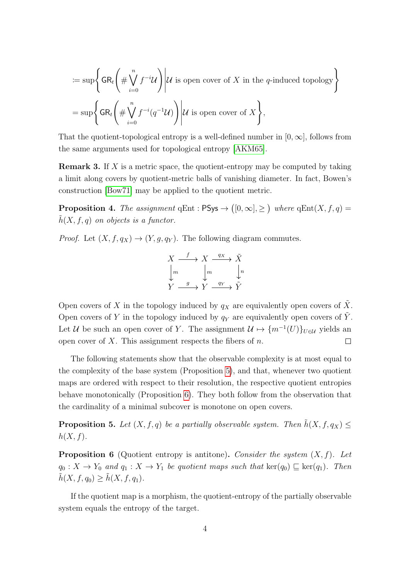$$
:= \sup \left\{ \operatorname{GR}_t \left( \# \bigvee_{i=0}^n f^{-i} \mathcal{U} \right) \middle| \mathcal{U} \text{ is open cover of } X \text{ in the } q\text{-induced topology} \right\}
$$
  
= 
$$
\sup \left\{ \operatorname{GR}_t \left( \# \bigvee_{i=0}^n f^{-i}(q^{-1} \mathcal{U}) \right) \middle| \mathcal{U} \text{ is open cover of } X \right\},
$$

That the quotient-topological entropy is a well-defined number in  $[0,\infty]$ , follows from the same arguments used for topological entropy [\[AKM65\]](#page-15-0).

**Remark 3.** If  $X$  is a metric space, the quotient-entropy may be computed by taking a limit along covers by quotient-metric balls of vanishing diameter. In fact, Bowen's construction [\[Bow71\]](#page-15-1) may be applied to the quotient metric.

<span id="page-5-3"></span>**Proposition 4.** The assignment qEnt :  $PSys \rightarrow ([0, \infty], \geq)$  where  $qEnt(X, f, q) =$  $h(X, f, q)$  on objects is a functor.

*Proof.* Let  $(X, f, q_X) \rightarrow (Y, q, q_Y)$ . The following diagram commutes.

$$
\begin{array}{ccc}\nX & \xrightarrow{f} & X & \xrightarrow{q_X} & \tilde{X} \\
\downarrow m & & \downarrow m & & \downarrow n \\
Y & \xrightarrow{g} & Y & \xrightarrow{q_Y} & \tilde{Y}\n\end{array}
$$

Open covers of X in the topology induced by  $q_X$  are equivalently open covers of  $\tilde{X}$ . Open covers of Y in the topology induced by  $q_Y$  are equivalently open covers of Y. Let U be such an open cover of Y. The assignment  $\mathcal{U} \mapsto \{m^{-1}(U)\}_{U \in \mathcal{U}}$  yields an open cover of X. This assignment respects the fibers of  $n$ .  $\Box$ 

The following statements show that the observable complexity is at most equal to the complexity of the base system (Proposition [5\)](#page-5-0), and that, whenever two quotient maps are ordered with respect to their resolution, the respective quotient entropies behave monotonically (Proposition [6\)](#page-5-1). They both follow from the observation that the cardinality of a minimal subcover is monotone on open covers.

<span id="page-5-0"></span>**Proposition 5.** Let  $(X, f, q)$  be a partially observable system. Then  $\tilde{h}(X, f, q_X) \leq$  $h(X, f)$ .

<span id="page-5-1"></span>**Proposition 6** (Quotient entropy is antitone). Consider the system  $(X, f)$ . Let  $q_0 : X \to Y_0$  and  $q_1 : X \to Y_1$  be quotient maps such that  $\ker(q_0) \sqsubseteq \ker(q_1)$ . Then  $\tilde{h}(X, f, q_0) \geq \tilde{h}(X, f, q_1).$ 

<span id="page-5-2"></span>If the quotient map is a morphism, the quotient-entropy of the partially observable system equals the entropy of the target.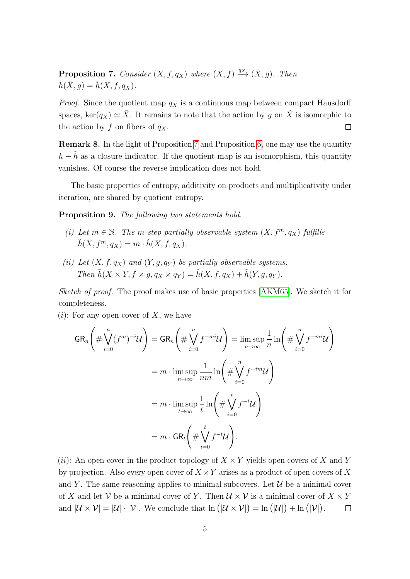**Proposition 7.** Consider  $(X, f, q_X)$  where  $(X, f) \stackrel{q_X}{\longrightarrow} (\tilde{X}, g)$ . Then  $h(\tilde{X}, g) = \tilde{h}(X, f, q_X).$ 

*Proof.* Since the quotient map  $q_X$  is a continuous map between compact Hausdorff spaces, ker(qx)  $\approx \tilde{X}$ . It remains to note that the action by g on  $\tilde{X}$  is isomorphic to the action by f on fibers of  $q_X$ .  $\Box$ 

Remark 8. In the light of Proposition [7](#page-5-2) and Proposition [6,](#page-5-1) one may use the quantity  $h - \tilde{h}$  as a closure indicator. If the quotient map is an isomorphism, this quantity vanishes. Of course the reverse implication does not hold.

The basic properties of entropy, additivity on products and multiplicativity under iteration, are shared by quotient entropy.

Proposition 9. The following two statements hold.

- (i) Let  $m \in \mathbb{N}$ . The m-step partially observable system  $(X, f^m, q_X)$  fulfills  $\tilde{h}(X, f^m, q_X) = m \cdot \tilde{h}(X, f, q_X).$
- (ii) Let  $(X, f, q_X)$  and  $(Y, q, q_Y)$  be partially observable systems. Then  $\tilde{h}(X \times Y, f \times q, q_X \times q_Y) = \tilde{h}(X, f, q_X) + \tilde{h}(Y, q, q_Y)$ .

Sketch of proof. The proof makes use of basic properties [\[AKM65\]](#page-15-0). We sketch it for completeness.

 $(i)$ : For any open cover of X, we have

$$
GR_n\left(\#\bigvee_{i=0}^n (f^m)^{-i}\mathcal{U}\right) = GR_n\left(\#\bigvee_{i=0}^n f^{-mi}\mathcal{U}\right) = \limsup_{n\to\infty} \frac{1}{n} \ln\left(\#\bigvee_{i=0}^n f^{-mi}\mathcal{U}\right)
$$

$$
= m \cdot \limsup_{n\to\infty} \frac{1}{nm} \ln\left(\#\bigvee_{i=0}^n f^{-im}\mathcal{U}\right)
$$

$$
= m \cdot \limsup_{t\to\infty} \frac{1}{t} \ln\left(\#\bigvee_{i=0}^t f^{-t}\mathcal{U}\right)
$$

$$
= m \cdot GR_t\left(\#\bigvee_{i=0}^t f^{-t}\mathcal{U}\right).
$$

(ii): An open cover in the product topology of  $X \times Y$  yields open covers of X and Y by projection. Also every open cover of  $X \times Y$  arises as a product of open covers of X and Y. The same reasoning applies to minimal subcovers. Let  $\mathcal U$  be a minimal cover of X and let V be a minimal cover of Y. Then  $\mathcal{U} \times \mathcal{V}$  is a minimal cover of  $X \times Y$ and  $|\mathcal{U} \times \mathcal{V}| = |\mathcal{U}| \cdot |\mathcal{V}|$ . We conclude that  $\ln (|\mathcal{U} \times \mathcal{V}|) = \ln (|\mathcal{U}|) + \ln (|\mathcal{V}|)$ .  $\Box$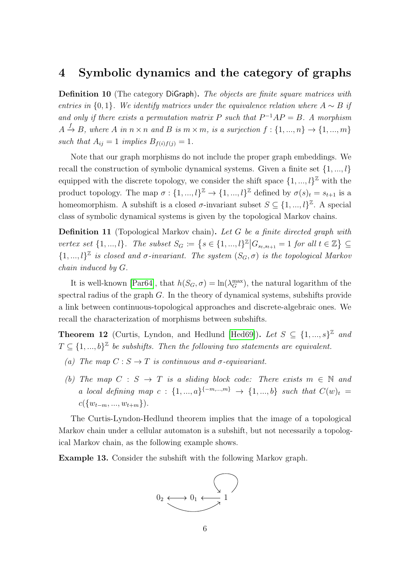#### 4 Symbolic dynamics and the category of graphs

Definition 10 (The category DiGraph). The objects are finite square matrices with entries in  ${0, 1}$ . We identify matrices under the equivalence relation where  $A \sim B$  if and only if there exists a permutation matrix P such that  $P^{-1}AP = B$ . A morphism  $A \stackrel{f}{\rightarrow} B$ , where A in  $n \times n$  and B is  $m \times m$ , is a surjection  $f: \{1, ..., n\} \rightarrow \{1, ..., m\}$ such that  $A_{ij} = 1$  implies  $B_{f(i)f(j)} = 1$ .

Note that our graph morphisms do not include the proper graph embeddings. We recall the construction of symbolic dynamical systems. Given a finite set  $\{1, ..., l\}$ equipped with the discrete topology, we consider the shift space  $\{1, ..., l\}^{\mathbb{Z}}$  with the product topology. The map  $\sigma: \{1, ..., l\}^{\mathbb{Z}} \to \{1, ..., l\}^{\mathbb{Z}}$  defined by  $\sigma(s)_{t} = s_{t+1}$  is a homeomorphism. A subshift is a closed  $\sigma$ -invariant subset  $S \subseteq \{1, ..., l\}^{\mathbb{Z}}$ . A special class of symbolic dynamical systems is given by the topological Markov chains.

**Definition 11** (Topological Markov chain). Let  $G$  be a finite directed graph with vertex set  $\{1, ..., l\}$ . The subset  $S_G \coloneqq \{s \in \{1, ..., l\}^{\mathbb{Z}} | G_{s_t, s_{t+1}} = 1 \text{ for all } t \in \mathbb{Z}\} \subseteq$  $\{1, ..., l\}^{\mathbb{Z}}$  is closed and  $\sigma$ -invariant. The system  $(S_G, \sigma)$  is the topological Markov chain induced by G.

It is well-known [\[Par64\]](#page-16-0), that  $h(S_G, \sigma) = \ln(\lambda_G^{\max})$ , the natural logarithm of the spectral radius of the graph  $G$ . In the theory of dynamical systems, subshifts provide a link between continuous-topological approaches and discrete-algebraic ones. We recall the characterization of morphisms between subshifts.

**Theorem 12** (Curtis, Lyndon, and Hedlund [\[Hed69\]](#page-16-1)). Let  $S \subseteq \{1, ..., s\}^{\mathbb{Z}}$  and  $T \subseteq \{1, ..., b\}^{\mathbb{Z}}$  be subshifts. Then the following two statements are equivalent.

- (a) The map  $C : S \to T$  is continuous and  $\sigma$ -equivariant.
- (b) The map  $C : S \rightarrow T$  is a sliding block code: There exists  $m \in \mathbb{N}$  and a local defining map  $c: \{1, ..., a\}^{\{-m,...,m\}} \rightarrow \{1, ..., b\}$  such that  $C(w)_t =$  $c({w_{t-m},...,w_{t+m}}).$

The Curtis-Lyndon-Hedlund theorem implies that the image of a topological Markov chain under a cellular automaton is a subshift, but not necessarily a topological Markov chain, as the following example shows.

Example 13. Consider the subshift with the following Markov graph.

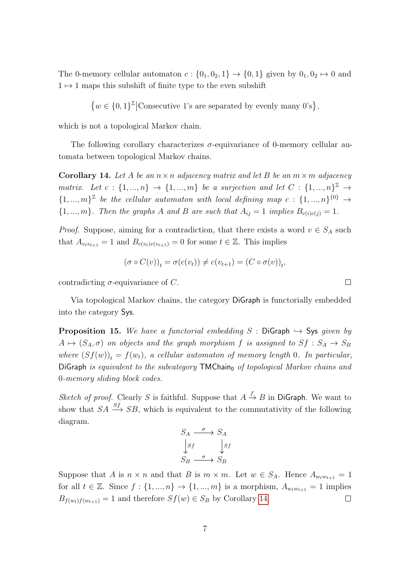The 0-memory cellular automaton  $c: \{0_1, 0_2, 1\} \rightarrow \{0, 1\}$  given by  $0_1, 0_2 \mapsto 0$  and  $1 \mapsto 1$  maps this subshift of finite type to the even subshift

$$
\big\{w\in\{0,1\}^{\mathbb Z}\big|\text{Consecutive 1's are separated by evenly many 0's}\big\},
$$

which is not a topological Markov chain.

The following corollary characterizes  $\sigma$ -equivariance of 0-memory cellular automata between topological Markov chains.

<span id="page-8-0"></span>**Corollary 14.** Let A be an  $n \times n$  adjacency matrix and let B be an  $m \times m$  adjacency matrix. Let  $c: \{1, ..., n\} \rightarrow \{1, ..., m\}$  be a surjection and let  $C: \{1, ..., n\}^{\mathbb{Z}} \rightarrow$  $\{1, ..., m\}^{\mathbb{Z}}$  be the cellular automaton with local defining map  $c: \{1, ..., n\}^{\{0\}} \rightarrow$  ${1, ..., m}$ . Then the graphs A and B are such that  $A_{ij} = 1$  implies  $B_{c(i)c(j)} = 1$ .

*Proof.* Suppose, aiming for a contradiction, that there exists a word  $v \in S_A$  such that  $A_{v_tv_{t+1}} = 1$  and  $B_{c(v_t)c(v_{t+1})} = 0$  for some  $t \in \mathbb{Z}$ . This implies

$$
(\sigma \circ C(v))_t = \sigma(c(v_t)) \neq c(v_{t+1}) = (C \circ \sigma(v))_t,
$$

contradicting  $\sigma$ -equivariance of C.

Via topological Markov chains, the category DiGraph is functorially embedded into the category Sys.

**Proposition 15.** We have a functorial embedding S : DiGraph  $\rightarrow$  Sys given by  $A \mapsto (S_A, \sigma)$  on objects and the graph morphism f is assigned to  $S_f : S_A \rightarrow S_B$ where  $(Sf(w))_t = f(w_t)$ , a cellular automaton of memory length 0. In particular, DiGraph is equivalent to the subcategory  $TMChain_0$  of topological Markov chains and 0-memory sliding block codes.

Sketch of proof. Clearly S is faithful. Suppose that  $A \stackrel{f}{\rightarrow} B$  in DiGraph. We want to show that  $SA \stackrel{Sf}{\longrightarrow} SB$ , which is equivalent to the commutativity of the following diagram.

$$
S_A \xrightarrow{\sigma} S_A
$$
  
\n
$$
S_f \xrightarrow{\sigma} S_B
$$
  
\n
$$
S_B \xrightarrow{\sigma} S_B
$$

Suppose that A is  $n \times n$  and that B is  $m \times m$ . Let  $w \in S_A$ . Hence  $A_{w_t w_{t+1}} = 1$ for all  $t \in \mathbb{Z}$ . Since  $f : \{1, ..., n\} \to \{1, ..., m\}$  is a morphism,  $A_{w_t w_{t+1}} = 1$  implies  $B_{f(w_t)f(w_{t+1})} = 1$  and therefore  $Sf(w) \in S_B$  by Corollary [14.](#page-8-0)  $\Box$ 

 $\Box$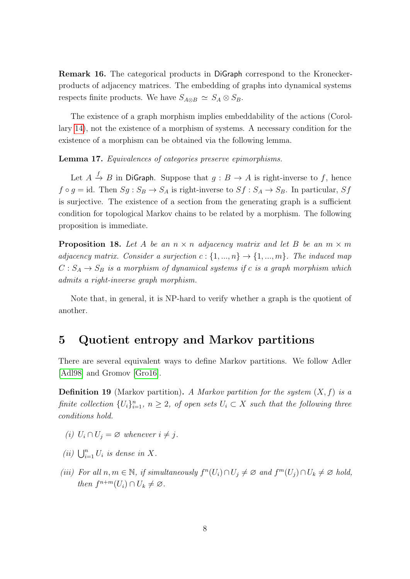Remark 16. The categorical products in DiGraph correspond to the Kroneckerproducts of adjacency matrices. The embedding of graphs into dynamical systems respects finite products. We have  $S_{A\otimes B} \simeq S_A \otimes S_B$ .

The existence of a graph morphism implies embeddability of the actions (Corollary [14\)](#page-8-0), not the existence of a morphism of systems. A necessary condition for the existence of a morphism can be obtained via the following lemma.

Lemma 17. Equivalences of categories preserve epimorphisms.

Let  $A \xrightarrow{f} B$  in DiGraph. Suppose that  $g : B \to A$  is right-inverse to f, hence  $f \circ g = id$ . Then  $Sg : S_B \to S_A$  is right-inverse to  $Sf : S_A \to S_B$ . In particular,  $Sf$ is surjective. The existence of a section from the generating graph is a sufficient condition for topological Markov chains to be related by a morphism. The following proposition is immediate.

<span id="page-9-0"></span>**Proposition 18.** Let A be an  $n \times n$  adjacency matrix and let B be an  $m \times m$ adjacency matrix. Consider a surjection  $c: \{1, ..., n\} \rightarrow \{1, ..., m\}$ . The induced map  $C: S_A \rightarrow S_B$  is a morphism of dynamical systems if c is a graph morphism which admits a right-inverse graph morphism.

Note that, in general, it is NP-hard to verify whether a graph is the quotient of another.

#### 5 Quotient entropy and Markov partitions

There are several equivalent ways to define Markov partitions. We follow Adler [\[Adl98\]](#page-15-2) and Gromov [\[Gro16\]](#page-15-3).

**Definition 19** (Markov partition). A Markov partition for the system  $(X, f)$  is a finite collection  $\{U_i\}_{i=1}^n$ ,  $n \geq 2$ , of open sets  $U_i \subset X$  such that the following three conditions hold.

- (i)  $U_i \cap U_j = \varnothing$  whenever  $i \neq j$ .
- (ii)  $\bigcup_{i=1}^n U_i$  is dense in X.
- (iii) For all  $n, m \in \mathbb{N}$ , if simultaneously  $f^{n}(U_i) \cap U_j \neq \emptyset$  and  $f^{m}(U_j) \cap U_k \neq \emptyset$  hold, then  $f^{n+m}(U_i) \cap U_k \neq \emptyset$ .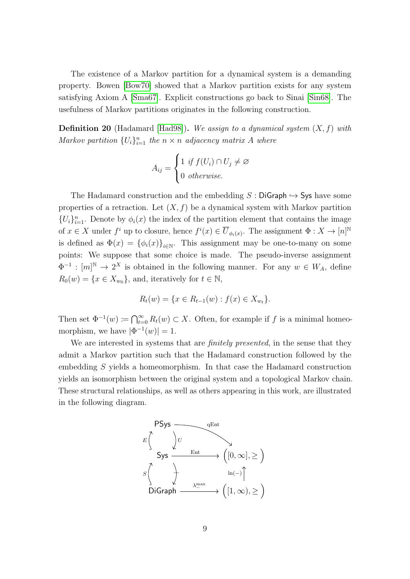The existence of a Markov partition for a dynamical system is a demanding property. Bowen [\[Bow70\]](#page-15-4) showed that a Markov partition exists for any system satisfying Axiom A [\[Sma67\]](#page-16-2). Explicit constructions go back to Sinai [\[Sin68\]](#page-16-3). The usefulness of Markov partitions originates in the following construction.

**Definition 20** (Hadamard [\[Had98\]](#page-16-4)). We assign to a dynamical system  $(X, f)$  with Markov partition  $\{U_i\}_{i=1}^n$  the  $n \times n$  adjacency matrix A where

$$
A_{ij} = \begin{cases} 1 & \text{if } f(U_i) \cap U_j \neq \varnothing \\ 0 & \text{otherwise.} \end{cases}
$$

The Hadamard construction and the embedding  $S :$  DiGraph  $\hookrightarrow$  Sys have some properties of a retraction. Let  $(X, f)$  be a dynamical system with Markov partition  ${U_i}_{i=1}^n$ . Denote by  $\phi_i(x)$  the index of the partition element that contains the image of  $x \in X$  under  $f^i$  up to closure, hence  $f^i(x) \in \overline{U}_{\phi_i(x)}$ . The assignment  $\Phi: X \to [n]^{\mathbb{N}}$ is defined as  $\Phi(x) = {\phi_i(x)}_{i \in \mathbb{N}}$ . This assignment may be one-to-many on some points: We suppose that some choice is made. The pseudo-inverse assignment  $\Phi^{-1} : [m]^{\mathbb{N}} \to 2^X$  is obtained in the following manner. For any  $w \in W_A$ , define  $R_0(w) = \{x \in X_{w_0}\},\$ and, iteratively for  $t \in \mathbb{N},$ 

$$
R_t(w) = \{ x \in R_{t-1}(w) : f(x) \in X_{w_t} \}.
$$

Then set  $\Phi^{-1}(w) \coloneqq \bigcap_{t=0}^{\infty} R_t(w) \subset X$ . Often, for example if f is a minimal homeomorphism, we have  $|\Phi^{-1}(w)| = 1$ .

We are interested in systems that are *finitely presented*, in the sense that they admit a Markov partition such that the Hadamard construction followed by the embedding S yields a homeomorphism. In that case the Hadamard construction yields an isomorphism between the original system and a topological Markov chain. These structural relationships, as well as others appearing in this work, are illustrated in the following diagram.

<span id="page-10-0"></span>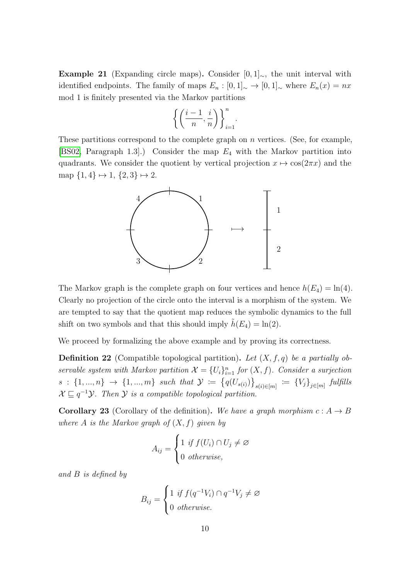Example 21 (Expanding circle maps). Consider  $[0,1]_{\sim}$ , the unit interval with identified endpoints. The family of maps  $E_n : [0,1]_{\sim} \to [0,1]_{\sim}$  where  $E_n(x) = nx$ mod 1 is finitely presented via the Markov partitions

$$
\left\{ \left( \frac{i-1}{n}, \frac{i}{n} \right) \right\}_{i=1}^{n}.
$$

These partitions correspond to the complete graph on  $n$  vertices. (See, for example, [\[BS02,](#page-15-5) Paragraph 1.3].) Consider the map  $E_4$  with the Markov partition into quadrants. We consider the quotient by vertical projection  $x \mapsto \cos(2\pi x)$  and the map  $\{1,4\}\mapsto 1,\, \{2,3\}\mapsto 2.$ 



The Markov graph is the complete graph on four vertices and hence  $h(E_4) = \ln(4)$ . Clearly no projection of the circle onto the interval is a morphism of the system. We are tempted to say that the quotient map reduces the symbolic dynamics to the full shift on two symbols and that this should imply  $h(E_4) = \ln(2)$ .

We proceed by formalizing the above example and by proving its correctness.

**Definition 22** (Compatible topological partition). Let  $(X, f, q)$  be a partially observable system with Markov partition  $\mathcal{X} = \{U_i\}_{i=1}^n$  for  $(X, f)$ . Consider a surjection  $s : \{1, ..., n\} \to \{1, ..., m\}$  such that  $\mathcal{Y} := \{q(U_{s(i)})\}_{s(i) \in [m]} := \{V_j\}_{j \in [m]}$  fulfills  $X \sqsubseteq q^{-1}Y$ . Then Y is a compatible topological partition.

**Corollary 23** (Corollary of the definition). We have a graph morphism  $c : A \rightarrow B$ where A is the Markov graph of  $(X, f)$  given by

$$
A_{ij} = \begin{cases} 1 & \text{if } f(U_i) \cap U_j \neq \varnothing \\ 0 & \text{otherwise,} \end{cases}
$$

and B is defined by

$$
B_{ij} = \begin{cases} 1 & \text{if } f(q^{-1}V_i) \cap q^{-1}V_j \neq \varnothing \\ 0 & \text{otherwise.} \end{cases}
$$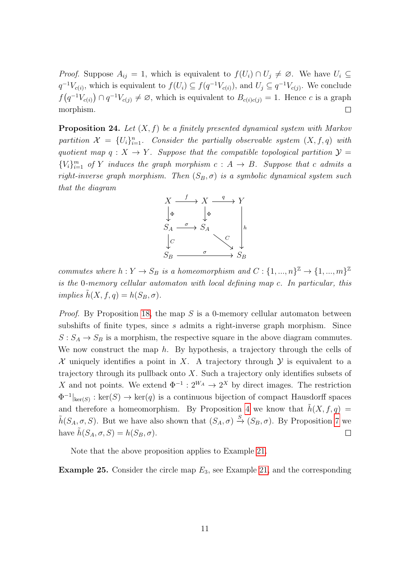*Proof.* Suppose  $A_{ij} = 1$ , which is equivalent to  $f(U_i) \cap U_j \neq \emptyset$ . We have  $U_i \subseteq$  $q^{-1}V_{c(i)}$ , which is equivalent to  $f(U_i) \subseteq f(q^{-1}V_{c(i)})$ , and  $U_j \subseteq q^{-1}V_{c(j)}$ . We conclude  $f(q^{-1}V_{c(i)}) \cap q^{-1}V_{c(j)} \neq \emptyset$ , which is equivalent to  $B_{c(i)c(j)} = 1$ . Hence c is a graph morphism.  $\Box$ 

<span id="page-12-0"></span>**Proposition 24.** Let  $(X, f)$  be a finitely presented dynamical system with Markov partition  $\mathcal{X} = \{U_i\}_{i=1}^n$ . Consider the partially observable system  $(X, f, q)$  with quotient map  $q : X \to Y$ . Suppose that the compatible topological partition  $\mathcal{Y} =$  ${V_i}_{i=1}^m$  of Y induces the graph morphism  $c: A \rightarrow B$ . Suppose that c admits a right-inverse graph morphism. Then  $(S_B, \sigma)$  is a symbolic dynamical system such that the diagram



commutes where  $h: Y \to S_B$  is a homeomorphism and  $C: \{1, ..., n\}^{\mathbb{Z}} \to \{1, ..., m\}^{\mathbb{Z}}$ is the 0-memory cellular automaton with local defining map c. In particular, this implies  $\tilde{h}(X, f, q) = h(S_B, \sigma)$ .

*Proof.* By Proposition [18,](#page-9-0) the map S is a 0-memory cellular automaton between subshifts of finite types, since s admits a right-inverse graph morphism. Since  $S: S_A \to S_B$  is a morphism, the respective square in the above diagram commutes. We now construct the map  $h$ . By hypothesis, a trajectory through the cells of X uniquely identifies a point in X. A trajectory through  $\mathcal Y$  is equivalent to a trajectory through its pullback onto  $X$ . Such a trajectory only identifies subsets of X and not points. We extend  $\Phi^{-1}: 2^{W_A} \to 2^X$  by direct images. The restriction  $\Phi^{-1}|_{\text{ker}(S)}$ : ker $(S) \to \text{ker}(q)$  is a continuous bijection of compact Hausdorff spaces and therefore a homeomorphism. By Proposition [4](#page-5-3) we know that  $\tilde{h}(X, f, q) =$  $\tilde{h}(S_A, \sigma, S)$ . But we have also shown that  $(S_A, \sigma) \stackrel{S}{\to} (S_B, \sigma)$ . By Proposition [7](#page-5-2) we have  $\tilde{h}(S_A, \sigma, S) = h(S_B, \sigma)$ .  $\Box$ 

Note that the above proposition applies to Example [21.](#page-10-0)

**Example 25.** Consider the circle map  $E_3$ , see Example [21,](#page-10-0) and the corresponding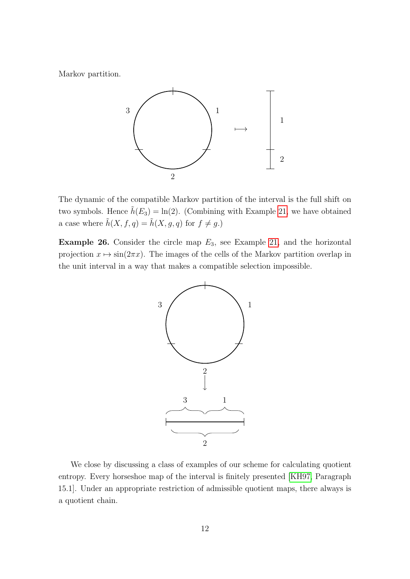Markov partition.



The dynamic of the compatible Markov partition of the interval is the full shift on two symbols. Hence  $\tilde{h}(E_3) = \ln(2)$ . (Combining with Example [21,](#page-10-0) we have obtained a case where  $\tilde{h}(X, f, q) = \tilde{h}(X, g, q)$  for  $f \neq g$  .)

**Example 26.** Consider the circle map  $E_3$ , see Example [21,](#page-10-0) and the horizontal projection  $x \mapsto \sin(2\pi x)$ . The images of the cells of the Markov partition overlap in the unit interval in a way that makes a compatible selection impossible.



We close by discussing a class of examples of our scheme for calculating quotient entropy. Every horseshoe map of the interval is finitely presented [\[KH97,](#page-16-5) Paragraph 15.1]. Under an appropriate restriction of admissible quotient maps, there always is a quotient chain.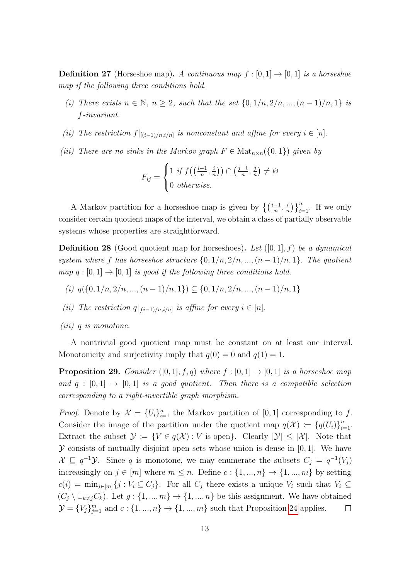**Definition 27** (Horseshoe map). A continuous map  $f : [0, 1] \rightarrow [0, 1]$  is a horseshoe map if the following three conditions hold.

- (i) There exists  $n \in \mathbb{N}$ ,  $n \geq 2$ , such that the set  $\{0, 1/n, 2/n, ..., (n-1)/n, 1\}$  is f-invariant.
- (ii) The restriction  $f|_{[(i-1)/n,i/n]}$  is nonconstant and affine for every  $i \in [n]$ .
- (iii) There are no sinks in the Markov graph  $F \in Mat_{n \times n}(\{0, 1\})$  given by

$$
F_{ij} = \begin{cases} 1 & \text{if } f\left(\left(\frac{i-1}{n}, \frac{i}{n}\right)\right) \cap \left(\frac{j-1}{n}, \frac{j}{n}\right) \neq \varnothing \\ 0 & \text{otherwise.} \end{cases}
$$

A Markov partition for a horseshoe map is given by  $\left\{ \left( \frac{i-1}{n}, \frac{i}{n} \right) \right\}$  $\left\{\frac{i}{n}\right\}\right\}_{i=1}^n$ . If we only consider certain quotient maps of the interval, we obtain a class of partially observable systems whose properties are straightforward.

**Definition 28** (Good quotient map for horseshoes). Let  $([0, 1], f)$  be a dynamical system where f has horseshoe structure  $\{0, 1/n, 2/n, ..., (n-1)/n, 1\}$ . The quotient map  $q : [0, 1] \rightarrow [0, 1]$  is good if the following three conditions hold.

- (i)  $q(\{0, 1/n, 2/n, ..., (n-1)/n, 1\}) \subseteq \{0, 1/n, 2/n, ..., (n-1)/n, 1\}$
- (ii) The restriction  $q|_{[(i-1)/n,i/n]}$  is affine for every  $i \in [n]$ .
- (iii) q is monotone.

A nontrivial good quotient map must be constant on at least one interval. Monotonicity and surjectivity imply that  $q(0) = 0$  and  $q(1) = 1$ .

**Proposition 29.** Consider  $([0,1], f, q)$  where  $f : [0,1] \rightarrow [0,1]$  is a horseshoe map and  $q : [0, 1] \rightarrow [0, 1]$  is a good quotient. Then there is a compatible selection corresponding to a right-invertible graph morphism.

*Proof.* Denote by  $\mathcal{X} = \{U_i\}_{i=1}^n$  the Markov partition of [0, 1] corresponding to f. Consider the image of the partition under the quotient map  $q(\mathcal{X}) \coloneqq \{q(U_i)\}_{i=1}^n$ . Extract the subset  $\mathcal{Y} := \{V \in q(\mathcal{X}) : V \text{ is open}\}\$ . Clearly  $|\mathcal{Y}| \leq |\mathcal{X}|$ . Note that  $\mathcal Y$  consists of mutually disjoint open sets whose union is dense in [0, 1]. We have  $\mathcal{X} \subseteq q^{-1}\mathcal{Y}$ . Since q is monotone, we may enumerate the subsets  $C_j = q^{-1}(V_j)$ increasingly on  $j \in [m]$  where  $m \leq n$ . Define  $c : \{1, ..., n\} \to \{1, ..., m\}$  by setting  $c(i) = \min_{j \in [m]} \{j : V_i \subseteq C_j\}.$  For all  $C_j$  there exists a unique  $V_i$  such that  $V_i \subseteq C_j$  $(C_j \setminus \cup_{k \neq j} C_k)$ . Let  $g: \{1, ..., m\} \to \{1, ..., n\}$  be this assignment. We have obtained  $\mathcal{Y} = \{V_j\}_{j=1}^m$  and  $c: \{1, ..., n\} \to \{1, ..., m\}$  such that Proposition [24](#page-12-0) applies.  $\Box$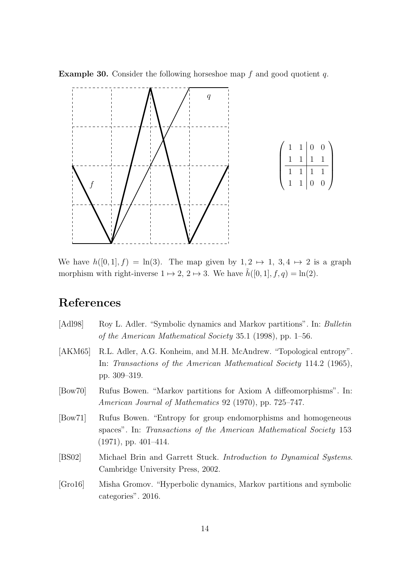

 $\setminus$ 

 $\cdot \cdot$ 

**Example 30.** Consider the following horseshoe map  $f$  and good quotient  $q$ .

We have  $h([0, 1], f) = \ln(3)$ . The map given by  $1, 2 \mapsto 1, 3, 4 \mapsto 2$  is a graph morphism with right-inverse  $1 \mapsto 2$ ,  $2 \mapsto 3$ . We have  $\tilde{h}([0, 1], f, q) = \ln(2)$ .

# References

- <span id="page-15-2"></span>[Adl98] Roy L. Adler. "Symbolic dynamics and Markov partitions". In: Bulletin of the American Mathematical Society 35.1 (1998), pp. 1–56.
- <span id="page-15-0"></span>[AKM65] R.L. Adler, A.G. Konheim, and M.H. McAndrew. "Topological entropy". In: Transactions of the American Mathematical Society 114.2 (1965), pp. 309–319.
- <span id="page-15-4"></span>[Bow70] Rufus Bowen. "Markov partitions for Axiom A diffeomorphisms". In: American Journal of Mathematics 92 (1970), pp. 725–747.
- <span id="page-15-1"></span>[Bow71] Rufus Bowen. "Entropy for group endomorphisms and homogeneous spaces". In: Transactions of the American Mathematical Society 153 (1971), pp. 401–414.
- <span id="page-15-5"></span>[BS02] Michael Brin and Garrett Stuck. Introduction to Dynamical Systems. Cambridge University Press, 2002.
- <span id="page-15-3"></span>[Gro16] Misha Gromov. "Hyperbolic dynamics, Markov partitions and symbolic categories". 2016.